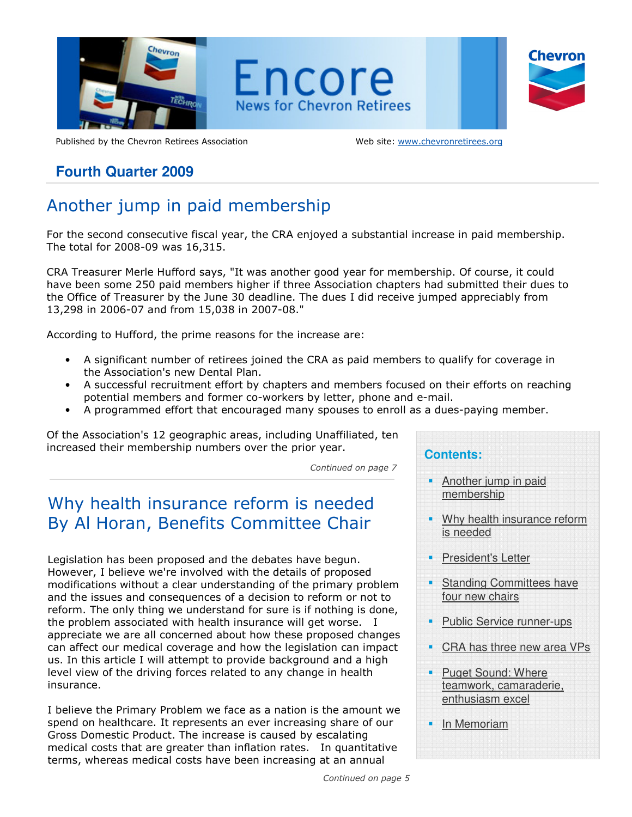

Published by the Chevron Retirees Association Web site: www.chevronretirees.org

## **Fourth Quarter 2009**

# Another jump in paid membership

For the second consecutive fiscal year, the CRA enjoyed a substantial increase in paid membership. The total for 2008-09 was 16,315.

CRA Treasurer Merle Hufford says, "It was another good year for membership. Of course, it could have been some 250 paid members higher if three Association chapters had submitted their dues to the Office of Treasurer by the June 30 deadline. The dues I did receive jumped appreciably from 13,298 in 2006-07 and from 15,038 in 2007-08."

According to Hufford, the prime reasons for the increase are:

- A significant number of retirees joined the CRA as paid members to qualify for coverage in the Association's new Dental Plan.
- A successful recruitment effort by chapters and members focused on their efforts on reaching potential members and former co-workers by letter, phone and e-mail.
- A programmed effort that encouraged many spouses to enroll as a dues-paying member.

Of the Association's 12 geographic areas, including Unaffiliated, ten increased their membership numbers over the prior year.

Continued on page 7

## Why health insurance reform is needed By Al Horan, Benefits Committee Chair

Legislation has been proposed and the debates have begun. However, I believe we're involved with the details of proposed modifications without a clear understanding of the primary problem and the issues and consequences of a decision to reform or not to reform. The only thing we understand for sure is if nothing is done, the problem associated with health insurance will get worse. I appreciate we are all concerned about how these proposed changes can affect our medical coverage and how the legislation can impact us. In this article I will attempt to provide background and a high level view of the driving forces related to any change in health insurance.

I believe the Primary Problem we face as a nation is the amount we spend on healthcare. It represents an ever increasing share of our Gross Domestic Product. The increase is caused by escalating medical costs that are greater than inflation rates. In quantitative terms, whereas medical costs have been increasing at an annual

## **Contents:**  Another jump in paid membership Why health insurance reform is needed President's Letter Standing Committees have four new chairs • Public Service runner-ups CRA has three new area VPs Puget Sound: Where teamwork, camaraderie, enthusiasm excel In Memoriam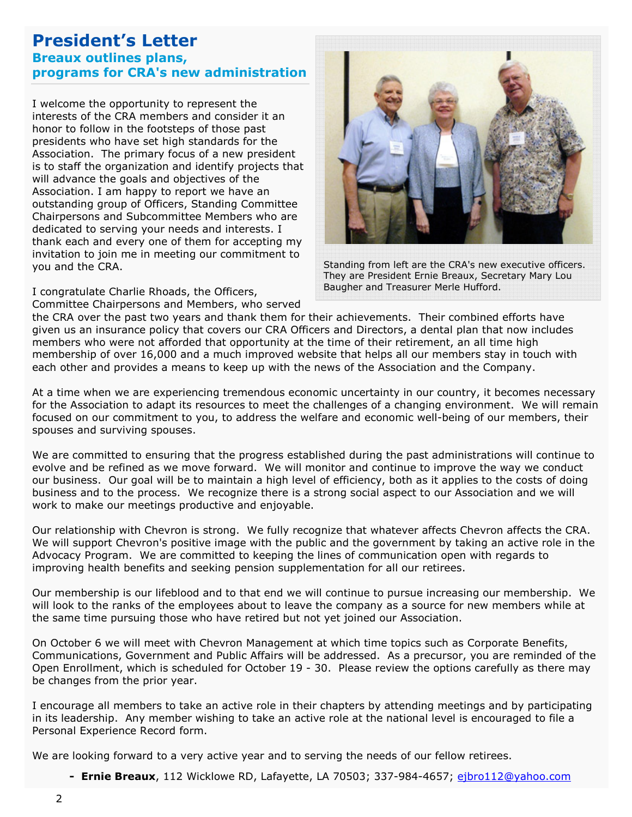## President's Letter Breaux outlines plans, programs for CRA's new administration

I welcome the opportunity to represent the<br>interests of the CPA members and consider interests of the CRA members and consider it an honor to follow in the footsteps of those past presidents who have set high standards for the Association. The primary focus of a new president is to staff the organization and identify projects that will advance the goals and objectives of the Association. I am happy to report we have an outstanding group of Officers, Standing Committee Chairpersons and Subcommittee Members who are dedicated to serving your needs and interests. I thank each and every one of them for accepting my invitation to join me in meeting our commitment to you and the CRA.

I congratulate Charlie Rhoads, the Officers,

Committee Chairpersons and Members, who served



Standing from left are the CRA's new executive officers. They are President Ernie Breaux, Secretary Mary Lou Baugher and Treasurer Merle Hufford.

the CRA over the past two years and thank them for their achievements. Their combined efforts have given us an insurance policy that covers our CRA Officers and Directors, a dental plan that now includes members who were not afforded that opportunity at the time of their retirement, an all time high membership of over 16,000 and a much improved website that helps all our members stay in touch with each other and provides a means to keep up with the news of the Association and the Company.

At a time when we are experiencing tremendous economic uncertainty in our country, it becomes necessary for the Association to adapt its resources to meet the challenges of a changing environment. We will remain focused on our commitment to you, to address the welfare and economic well-being of our members, their spouses and surviving spouses.

We are committed to ensuring that the progress established during the past administrations will continue to evolve and be refined as we move forward. We will monitor and continue to improve the way we conduct our business. Our goal will be to maintain a high level of efficiency, both as it applies to the costs of doing business and to the process. We recognize there is a strong social aspect to our Association and we will work to make our meetings productive and enjoyable.

Our relationship with Chevron is strong. We fully recognize that whatever affects Chevron affects the CRA. We will support Chevron's positive image with the public and the government by taking an active role in the Advocacy Program. We are committed to keeping the lines of communication open with regards to improving health benefits and seeking pension supplementation for all our retirees.

Our membership is our lifeblood and to that end we will continue to pursue increasing our membership. We will look to the ranks of the employees about to leave the company as a source for new members while at the same time pursuing those who have retired but not yet joined our Association.

On October 6 we will meet with Chevron Management at which time topics such as Corporate Benefits, Communications, Government and Public Affairs will be addressed. As a precursor, you are reminded of the Open Enrollment, which is scheduled for October 19 - 30. Please review the options carefully as there may be changes from the prior year.

I encourage all members to take an active role in their chapters by attending meetings and by participating in its leadership. Any member wishing to take an active role at the national level is encouraged to file a Personal Experience Record form.

We are looking forward to a very active year and to serving the needs of our fellow retirees.

- Ernie Breaux, 112 Wicklowe RD, Lafayette, LA 70503; 337-984-4657; ejbro112@yahoo.com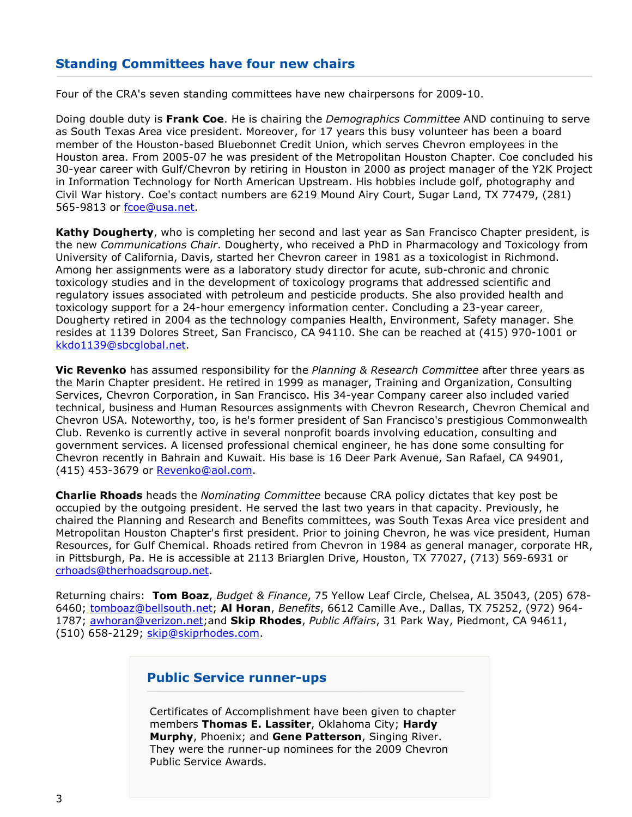## Standing Committees have four new chairs

Four of the CRA's seven standing committees have new chairpersons for 2009-10.

 $\overline{a}$ Doing double duty is Frank Coe. He is chairing the *Demographics Committee* AND continuing to serve as South Texas Area vice president. Moreover, for 17 years this busy volunteer has been a board member of the Houston-based Bluebonnet Credit Union, which serves Chevron employees in the Houston area. From 2005-07 he was president of the Metropolitan Houston Chapter. Coe concluded his 30-year career with Gulf/Chevron by retiring in Houston in 2000 as project manager of the Y2K Project in Information Technology for North American Upstream. His hobbies include golf, photography and Civil War history. Coe's contact numbers are 6219 Mound Airy Court, Sugar Land, TX 77479, (281) 565-9813 or fcoe@usa.net.

Kathy Dougherty, who is completing her second and last year as San Francisco Chapter president, is the new Communications Chair. Dougherty, who received a PhD in Pharmacology and Toxicology from University of California, Davis, started her Chevron career in 1981 as a toxicologist in Richmond. Among her assignments were as a laboratory study director for acute, sub-chronic and chronic toxicology studies and in the development of toxicology programs that addressed scientific and regulatory issues associated with petroleum and pesticide products. She also provided health and toxicology support for a 24-hour emergency information center. Concluding a 23-year career, Dougherty retired in 2004 as the technology companies Health, Environment, Safety manager. She resides at 1139 Dolores Street, San Francisco, CA 94110. She can be reached at (415) 970-1001 or kkdo1139@sbcglobal.net.

Vic Revenko has assumed responsibility for the Planning & Research Committee after three years as the Marin Chapter president. He retired in 1999 as manager, Training and Organization, Consulting Services, Chevron Corporation, in San Francisco. His 34-year Company career also included varied technical, business and Human Resources assignments with Chevron Research, Chevron Chemical and Chevron USA. Noteworthy, too, is he's former president of San Francisco's prestigious Commonwealth Club. Revenko is currently active in several nonprofit boards involving education, consulting and government services. A licensed professional chemical engineer, he has done some consulting for Chevron recently in Bahrain and Kuwait. His base is 16 Deer Park Avenue, San Rafael, CA 94901, (415) 453-3679 or Revenko@aol.com.

**Charlie Rhoads** heads the *Nominating Committee* because CRA policy dictates that key post be occupied by the outgoing president. He served the last two years in that capacity. Previously, he chaired the Planning and Research and Benefits committees, was South Texas Area vice president and Metropolitan Houston Chapter's first president. Prior to joining Chevron, he was vice president, Human Resources, for Gulf Chemical. Rhoads retired from Chevron in 1984 as general manager, corporate HR, in Pittsburgh, Pa. He is accessible at 2113 Briarglen Drive, Houston, TX 77027, (713) 569-6931 or crhoads@therhoadsgroup.net.

Returning chairs: Tom Boaz, Budget & Finance, 75 Yellow Leaf Circle, Chelsea, AL 35043, (205) 678-6460; tomboaz@bellsouth.net; Al Horan, Benefits, 6612 Camille Ave., Dallas, TX 75252, (972) 964-1787; awhoran@verizon.net;and Skip Rhodes, Public Affairs, 31 Park Way, Piedmont, CA 94611, (510) 658-2129; skip@skiprhodes.com.

### Public Service runner-ups

Certificates of Accomplishment have been given to chapter members Thomas E. Lassiter, Oklahoma City; Hardy Murphy, Phoenix; and Gene Patterson, Singing River. They were the runner-up nominees for the 2009 Chevron Public Service Awards.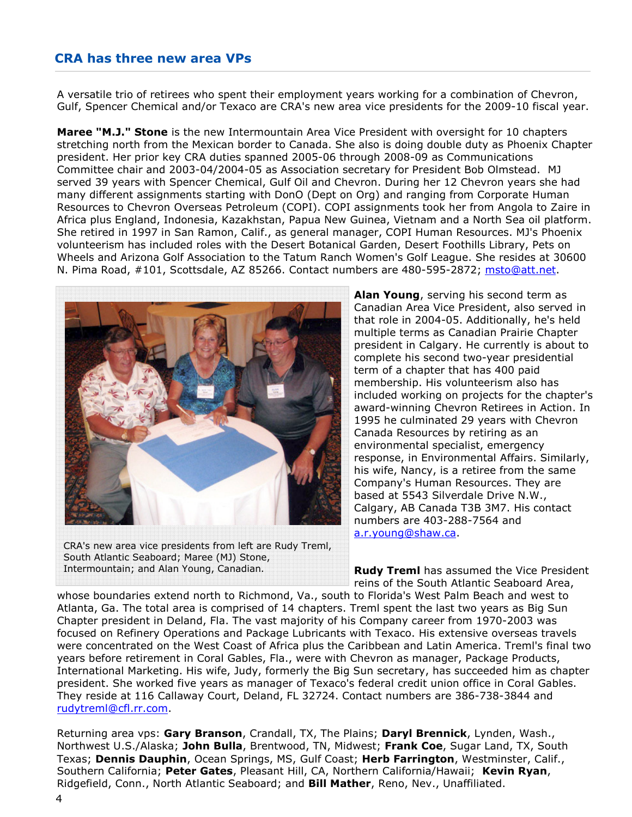## CRA has three new area VPs

A versatile trio of retirees who spent their employment years working for a combination of Chevron, Gulf, Spencer Chemical and/or Texaco are CRA's new area vice presidents for the 2009-10 fiscal year.

Maree "M.J." Stone is the new Intermountain Area Vice President with oversight for 10 chapters stretching north from the Mexican border to Canada. She also is doing double duty as Phoenix Chapter president. Her prior key CRA duties spanned 2005-06 through 2008-09 as Communications Committee chair and 2003-04/2004-05 as Association secretary for President Bob Olmstead. MJ served 39 years with Spencer Chemical, Gulf Oil and Chevron. During her 12 Chevron years she had many different assignments starting with DonO (Dept on Org) and ranging from Corporate Human Resources to Chevron Overseas Petroleum (COPI). COPI assignments took her from Angola to Zaire in Africa plus England, Indonesia, Kazakhstan, Papua New Guinea, Vietnam and a North Sea oil platform. She retired in 1997 in San Ramon, Calif., as general manager, COPI Human Resources. MJ's Phoenix volunteerism has included roles with the Desert Botanical Garden, Desert Foothills Library, Pets on Wheels and Arizona Golf Association to the Tatum Ranch Women's Golf League. She resides at 30600 N. Pima Road, #101, Scottsdale, AZ 85266. Contact numbers are 480-595-2872; msto@att.net.



CRA's new area vice presidents from left are Rudy Treml, South Atlantic Seaboard; Maree (MJ) Stone, Intermountain; and Alan Young, Canadian.

Alan Young, serving his second term as Canadian Area Vice President, also served in that role in 2004-05. Additionally, he's held multiple terms as Canadian Prairie Chapter president in Calgary. He currently is about to complete his second two-year presidential term of a chapter that has 400 paid membership. His volunteerism also has included working on projects for the chapter's award-winning Chevron Retirees in Action. In 1995 he culminated 29 years with Chevron Canada Resources by retiring as an environmental specialist, emergency response, in Environmental Affairs. Similarly, his wife, Nancy, is a retiree from the same Company's Human Resources. They are based at 5543 Silverdale Drive N.W., Calgary, AB Canada T3B 3M7. His contact numbers are 403-288-7564 and a.r.young@shaw.ca.

**Rudy Treml** has assumed the Vice President reins of the South Atlantic Seaboard Area,

whose boundaries extend north to Richmond, Va., south to Florida's West Palm Beach and west to Atlanta, Ga. The total area is comprised of 14 chapters. Treml spent the last two years as Big Sun Chapter president in Deland, Fla. The vast majority of his Company career from 1970-2003 was focused on Refinery Operations and Package Lubricants with Texaco. His extensive overseas travels were concentrated on the West Coast of Africa plus the Caribbean and Latin America. Treml's final two years before retirement in Coral Gables, Fla., were with Chevron as manager, Package Products, International Marketing. His wife, Judy, formerly the Big Sun secretary, has succeeded him as chapter president. She worked five years as manager of Texaco's federal credit union office in Coral Gables. They reside at 116 Callaway Court, Deland, FL 32724. Contact numbers are 386-738-3844 and rudytreml@cfl.rr.com.

Returning area vps: Gary Branson, Crandall, TX, The Plains; Daryl Brennick, Lynden, Wash., Northwest U.S./Alaska; John Bulla, Brentwood, TN, Midwest; Frank Coe, Sugar Land, TX, South Texas; Dennis Dauphin, Ocean Springs, MS, Gulf Coast; Herb Farrington, Westminster, Calif., Southern California; Peter Gates, Pleasant Hill, CA, Northern California/Hawaii; Kevin Ryan, Ridgefield, Conn., North Atlantic Seaboard; and Bill Mather, Reno, Nev., Unaffiliated.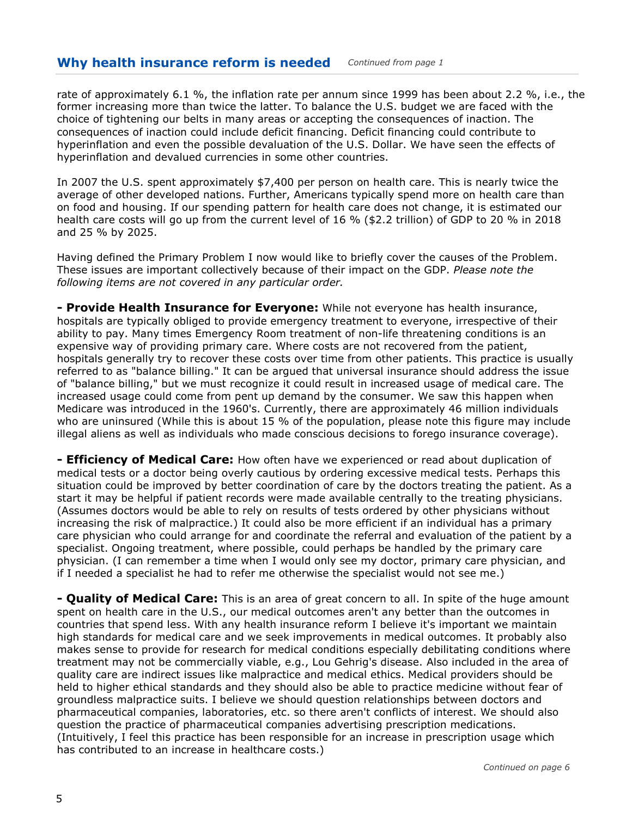rate of approximately 6.1 %, the inflation rate per annum since 1999 has been about 2.2 %, i.e., the former increasing more than twice the latter. To balance the U.S. budget we are faced with the choice of tightening our belts in many areas or accepting the consequences of inaction. The consequences of inaction could include deficit financing. Deficit financing could contribute to hyperinflation and even the possible devaluation of the U.S. Dollar. We have seen the effects of hyperinflation and devalued currencies in some other countries.

In 2007 the U.S. spent approximately \$7,400 per person on health care. This is nearly twice the average of other developed nations. Further, Americans typically spend more on health care than on food and housing. If our spending pattern for health care does not change, it is estimated our health care costs will go up from the current level of 16 % (\$2.2 trillion) of GDP to 20 % in 2018 and 25 % by 2025.

Having defined the Primary Problem I now would like to briefly cover the causes of the Problem. These issues are important collectively because of their impact on the GDP. Please note the following items are not covered in any particular order.

- Provide Health Insurance for Everyone: While not everyone has health insurance, hospitals are typically obliged to provide emergency treatment to everyone, irrespective of their ability to pay. Many times Emergency Room treatment of non-life threatening conditions is an expensive way of providing primary care. Where costs are not recovered from the patient, hospitals generally try to recover these costs over time from other patients. This practice is usually referred to as "balance billing." It can be argued that universal insurance should address the issue of "balance billing," but we must recognize it could result in increased usage of medical care. The increased usage could come from pent up demand by the consumer. We saw this happen when Medicare was introduced in the 1960's. Currently, there are approximately 46 million individuals who are uninsured (While this is about 15 % of the population, please note this figure may include illegal aliens as well as individuals who made conscious decisions to forego insurance coverage).

**- Efficiency of Medical Care:** How often have we experienced or read about duplication of medical tests or a doctor being overly cautious by ordering excessive medical tests. Perhaps this situation could be improved by better coordination of care by the doctors treating the patient. As a start it may be helpful if patient records were made available centrally to the treating physicians. (Assumes doctors would be able to rely on results of tests ordered by other physicians without increasing the risk of malpractice.) It could also be more efficient if an individual has a primary care physician who could arrange for and coordinate the referral and evaluation of the patient by a specialist. Ongoing treatment, where possible, could perhaps be handled by the primary care physician. (I can remember a time when I would only see my doctor, primary care physician, and if I needed a specialist he had to refer me otherwise the specialist would not see me.)

**- Quality of Medical Care:** This is an area of great concern to all. In spite of the huge amount spent on health care in the U.S., our medical outcomes aren't any better than the outcomes in countries that spend less. With any health insurance reform I believe it's important we maintain high standards for medical care and we seek improvements in medical outcomes. It probably also makes sense to provide for research for medical conditions especially debilitating conditions where treatment may not be commercially viable, e.g., Lou Gehrig's disease. Also included in the area of quality care are indirect issues like malpractice and medical ethics. Medical providers should be held to higher ethical standards and they should also be able to practice medicine without fear of groundless malpractice suits. I believe we should question relationships between doctors and pharmaceutical companies, laboratories, etc. so there aren't conflicts of interest. We should also question the practice of pharmaceutical companies advertising prescription medications. (Intuitively, I feel this practice has been responsible for an increase in prescription usage which has contributed to an increase in healthcare costs.)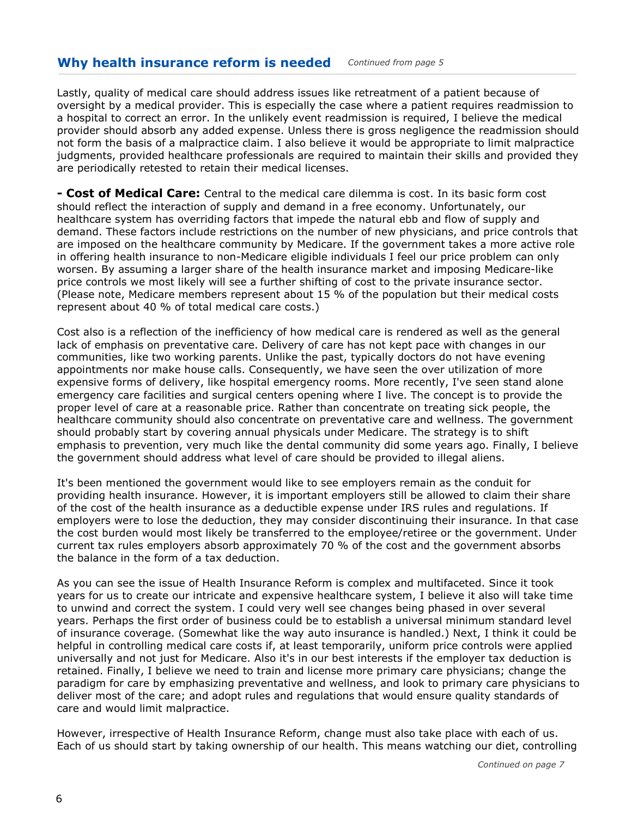### Why health insurance reform is needed Continued from page 5

Lastly, quality of medical care should address issues like retreatment of a patient because of oversight by a medical provider. This is especially the case where a patient requires readmission to a hospital to correct an error. In the unlikely event readmission is required, I believe the medical provider should absorb any added expense. Unless there is gross negligence the readmission should not form the basis of a malpractice claim. I also believe it would be appropriate to limit malpractice judgments, provided healthcare professionals are required to maintain their skills and provided they are periodically retested to retain their medical licenses.

**- Cost of Medical Care:** Central to the medical care dilemma is cost. In its basic form cost should reflect the interaction of supply and demand in a free economy. Unfortunately, our healthcare system has overriding factors that impede the natural ebb and flow of supply and demand. These factors include restrictions on the number of new physicians, and price controls that are imposed on the healthcare community by Medicare. If the government takes a more active role in offering health insurance to non-Medicare eligible individuals I feel our price problem can only worsen. By assuming a larger share of the health insurance market and imposing Medicare-like price controls we most likely will see a further shifting of cost to the private insurance sector. (Please note, Medicare members represent about 15 % of the population but their medical costs represent about 40 % of total medical care costs.)

Cost also is a reflection of the inefficiency of how medical care is rendered as well as the general lack of emphasis on preventative care. Delivery of care has not kept pace with changes in our communities, like two working parents. Unlike the past, typically doctors do not have evening appointments nor make house calls. Consequently, we have seen the over utilization of more expensive forms of delivery, like hospital emergency rooms. More recently, I've seen stand alone emergency care facilities and surgical centers opening where I live. The concept is to provide the proper level of care at a reasonable price. Rather than concentrate on treating sick people, the healthcare community should also concentrate on preventative care and wellness. The government should probably start by covering annual physicals under Medicare. The strategy is to shift emphasis to prevention, very much like the dental community did some years ago. Finally, I believe the government should address what level of care should be provided to illegal aliens.

It's been mentioned the government would like to see employers remain as the conduit for providing health insurance. However, it is important employers still be allowed to claim their share of the cost of the health insurance as a deductible expense under IRS rules and regulations. If employers were to lose the deduction, they may consider discontinuing their insurance. In that case the cost burden would most likely be transferred to the employee/retiree or the government. Under current tax rules employers absorb approximately 70 % of the cost and the government absorbs the balance in the form of a tax deduction.

As you can see the issue of Health Insurance Reform is complex and multifaceted. Since it took years for us to create our intricate and expensive healthcare system, I believe it also will take time to unwind and correct the system. I could very well see changes being phased in over several years. Perhaps the first order of business could be to establish a universal minimum standard level of insurance coverage. (Somewhat like the way auto insurance is handled.) Next, I think it could be helpful in controlling medical care costs if, at least temporarily, uniform price controls were applied universally and not just for Medicare. Also it's in our best interests if the employer tax deduction is retained. Finally, I believe we need to train and license more primary care physicians; change the paradigm for care by emphasizing preventative and wellness, and look to primary care physicians to deliver most of the care; and adopt rules and regulations that would ensure quality standards of care and would limit malpractice.

However, irrespective of Health Insurance Reform, change must also take place with each of us. Each of us should start by taking ownership of our health. This means watching our diet, controlling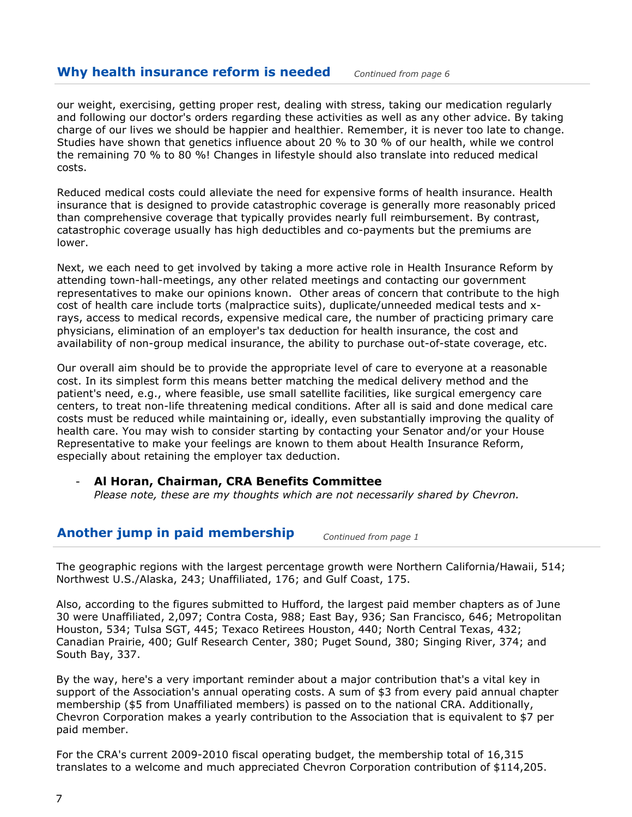#### l Why health insurance reform is needed  $Conting of theorem 64$

our weight, exercising, getting proper rest, dealing with stress, taking our medication regularly and following our doctor's orders regarding these activities as well as any other advice. By taking charge of our lives we should be happier and healthier. Remember, it is never too late to change. Studies have shown that genetics influence about 20 % to 30 % of our health, while we control the remaining 70 % to 80 %! Changes in lifestyle should also translate into reduced medical costs.

Reduced medical costs could alleviate the need for expensive forms of health insurance. Health insurance that is designed to provide catastrophic coverage is generally more reasonably priced than comprehensive coverage that typically provides nearly full reimbursement. By contrast, catastrophic coverage usually has high deductibles and co-payments but the premiums are lower.

Next, we each need to get involved by taking a more active role in Health Insurance Reform by attending town-hall-meetings, any other related meetings and contacting our government representatives to make our opinions known. Other areas of concern that contribute to the high cost of health care include torts (malpractice suits), duplicate/unneeded medical tests and xrays, access to medical records, expensive medical care, the number of practicing primary care physicians, elimination of an employer's tax deduction for health insurance, the cost and availability of non-group medical insurance, the ability to purchase out-of-state coverage, etc.

Our overall aim should be to provide the appropriate level of care to everyone at a reasonable cost. In its simplest form this means better matching the medical delivery method and the patient's need, e.g., where feasible, use small satellite facilities, like surgical emergency care centers, to treat non-life threatening medical conditions. After all is said and done medical care costs must be reduced while maintaining or, ideally, even substantially improving the quality of health care. You may wish to consider starting by contacting your Senator and/or your House Representative to make your feelings are known to them about Health Insurance Reform, especially about retaining the employer tax deduction.

### Al Horan, Chairman, CRA Benefits Committee

Please note, these are my thoughts which are not necessarily shared by Chevron.

## Another jump in paid membership  $\sum_{Continued from \space page 1}$

The geographic regions with the largest percentage growth were Northern California/Hawaii, 514; Northwest U.S./Alaska, 243; Unaffiliated, 176; and Gulf Coast, 175.

Also, according to the figures submitted to Hufford, the largest paid member chapters as of June 30 were Unaffiliated, 2,097; Contra Costa, 988; East Bay, 936; San Francisco, 646; Metropolitan Houston, 534; Tulsa SGT, 445; Texaco Retirees Houston, 440; North Central Texas, 432; Canadian Prairie, 400; Gulf Research Center, 380; Puget Sound, 380; Singing River, 374; and South Bay, 337.

By the way, here's a very important reminder about a major contribution that's a vital key in support of the Association's annual operating costs. A sum of \$3 from every paid annual chapter membership (\$5 from Unaffiliated members) is passed on to the national CRA. Additionally, Chevron Corporation makes a yearly contribution to the Association that is equivalent to \$7 per paid member.

For the CRA's current 2009-2010 fiscal operating budget, the membership total of 16,315 translates to a welcome and much appreciated Chevron Corporation contribution of \$114,205.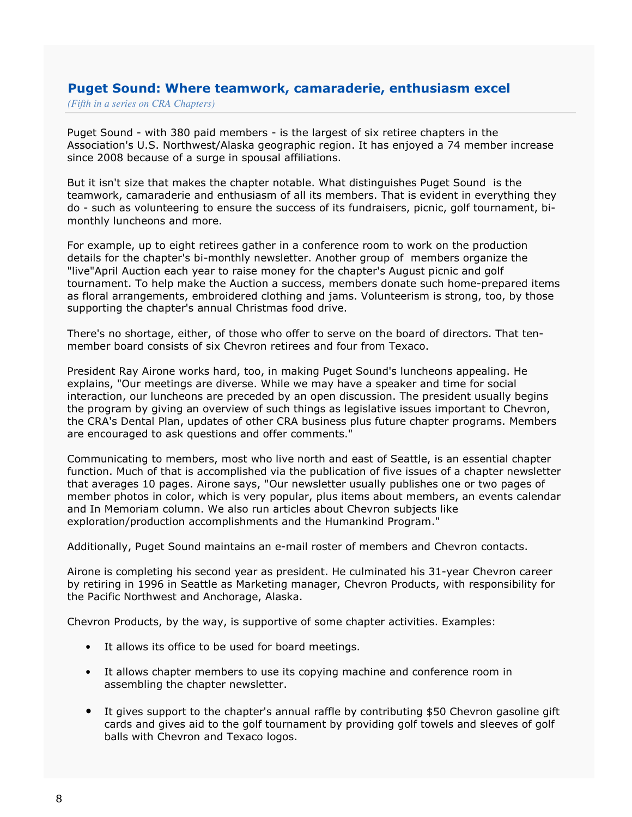## Puget Sound: Where teamwork, camaraderie, enthusiasm excel

*(Fifth in a series on CRA Chapters)*

Puget Sound - with 380 paid members - is the largest of six retiree chapters in the Association's U.S. Northwest/Alaska geographic region. It has enjoyed a 74 member increase since 2008 because of a surge in spousal affiliations.

But it isn't size that makes the chapter notable. What distinguishes Puget Sound is the teamwork, camaraderie and enthusiasm of all its members. That is evident in everything they do - such as volunteering to ensure the success of its fundraisers, picnic, golf tournament, bimonthly luncheons and more.

For example, up to eight retirees gather in a conference room to work on the production details for the chapter's bi-monthly newsletter. Another group of members organize the "live"April Auction each year to raise money for the chapter's August picnic and golf tournament. To help make the Auction a success, members donate such home-prepared items as floral arrangements, embroidered clothing and jams. Volunteerism is strong, too, by those supporting the chapter's annual Christmas food drive.

There's no shortage, either, of those who offer to serve on the board of directors. That tenmember board consists of six Chevron retirees and four from Texaco.

President Ray Airone works hard, too, in making Puget Sound's luncheons appealing. He explains, "Our meetings are diverse. While we may have a speaker and time for social interaction, our luncheons are preceded by an open discussion. The president usually begins the program by giving an overview of such things as legislative issues important to Chevron, the CRA's Dental Plan, updates of other CRA business plus future chapter programs. Members are encouraged to ask questions and offer comments."

Communicating to members, most who live north and east of Seattle, is an essential chapter function. Much of that is accomplished via the publication of five issues of a chapter newsletter that averages 10 pages. Airone says, "Our newsletter usually publishes one or two pages of member photos in color, which is very popular, plus items about members, an events calendar and In Memoriam column. We also run articles about Chevron subjects like exploration/production accomplishments and the Humankind Program."

Additionally, Puget Sound maintains an e-mail roster of members and Chevron contacts.

Airone is completing his second year as president. He culminated his 31-year Chevron career by retiring in 1996 in Seattle as Marketing manager, Chevron Products, with responsibility for the Pacific Northwest and Anchorage, Alaska.

Chevron Products, by the way, is supportive of some chapter activities. Examples:

- It allows its office to be used for board meetings.
- It allows chapter members to use its copying machine and conference room in assembling the chapter newsletter.
- It gives support to the chapter's annual raffle by contributing \$50 Chevron gasoline gift cards and gives aid to the golf tournament by providing golf towels and sleeves of golf balls with Chevron and Texaco logos.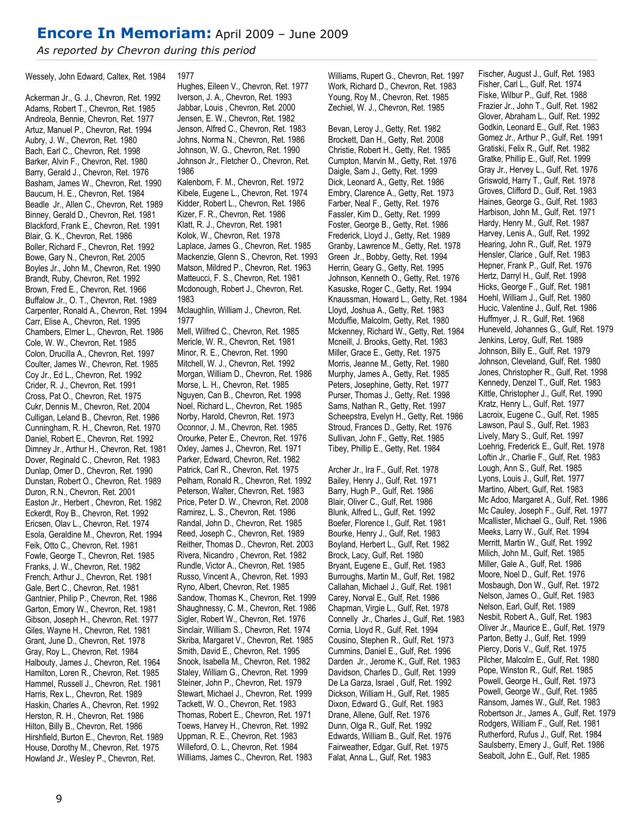## Encore In Memoriam: April 2009 – June 2009

As reported by Chevron during this period

Wessely, John Edward, Caltex, Ret. 1984

Ackerman Jr., G. J., Chevron, Ret. 1992 Adams, Robert T., Chevron, Ret. 1985 Andreola, Bennie, Chevron, Ret. 1977 Artuz, Manuel P., Chevron, Ret. 1994 Aubry, J. W., Chevron, Ret. 1980 Bach, Earl C., Chevron, Ret. 1998 Barker, Alvin F., Chevron, Ret. 1980 Barry, Gerald J., Chevron, Ret. 1976 Basham, James W., Chevron, Ret. 1990 Baucum, H. E., Chevron, Ret. 1984 Beadle Jr., Allen C., Chevron, Ret. 1989 Binney, Gerald D., Chevron, Ret. 1981 Blackford, Frank E., Chevron, Ret. 1991 Blair, G. K., Chevron, Ret. 1986 Boller, Richard F., Chevron, Ret. 1992 Bowe, Gary N., Chevron, Ret. 2005 Boyles Jr., John M., Chevron, Ret. 1990 Brandt, Ruby, Chevron, Ret. 1992 Brown, Fred E., Chevron, Ret. 1966 Buffalow Jr., O. T., Chevron, Ret. 1989 Carpenter, Ronald A., Chevron, Ret. 1994 Carr, Elise A., Chevron, Ret. 1995 Chambers, Elmer L., Chevron, Ret. 1986 Cole, W. W., Chevron, Ret. 1985 Colon, Drucilla A., Chevron, Ret. 1997 Coulter, James W., Chevron, Ret. 1985 Coy Jr., Ed L., Chevron, Ret. 1992 Crider, R. J., Chevron, Ret. 1991 Cross, Pat O., Chevron, Ret. 1975 Cukr, Dennis M., Chevron, Ret. 2004 Culligan, Leland B., Chevron, Ret. 1986 Cunningham, R. H., Chevron, Ret. 1970 Daniel, Robert E., Chevron, Ret. 1992 Dimney Jr., Arthur H., Chevron, Ret. 1981 Dover, Reginald C., Chevron, Ret. 1983 Dunlap, Omer D., Chevron, Ret. 1990 Dunstan, Robert O., Chevron, Ret. 1989 Duron, R.N., Chevron, Ret. 2001 Easton Jr., Herbert , Chevron, Ret. 1982 Eckerdt, Roy B., Chevron, Ret. 1992 Ericsen, Olav L., Chevron, Ret. 1974 Esola, Geraldine M., Chevron, Ret. 1994 Feik, Otto C., Chevron, Ret. 1981 Fowle, George T., Chevron, Ret. 1985 Franks, J. W., Chevron, Ret. 1982 French, Arthur J., Chevron, Ret. 1981 Gale, Bert C., Chevron, Ret. 1981 Gantnier, Philip P., Chevron, Ret. 1986 Garton, Emory W., Chevron, Ret. 1981 Gibson, Joseph H., Chevron, Ret. 1977 Giles, Wayne H., Chevron, Ret. 1981 Grant, June D., Chevron, Ret. 1978 Gray, Roy L., Chevron, Ret. 1984 Halbouty, James J., Chevron, Ret. 1964 Hamilton, Loren R., Chevron, Ret. 1985 Hammel, Russell J., Chevron, Ret. 1981 Harris, Rex L., Chevron, Ret. 1989 Haskin, Charles A., Chevron, Ret. 1992 Herston, R. H., Chevron, Ret. 1986 Hilton, Billy B., Chevron, Ret. 1986 Hirshfield, Burton E., Chevron, Ret. 1989 House, Dorothy M., Chevron, Ret. 1975 Howland Jr., Wesley P., Chevron, Ret.

#### 1977

Hughes, Eileen V., Chevron, Ret. 1977 Iverson, J. A., Chevron, Ret. 1993 Jabbar, Louis , Chevron, Ret. 2000 Jensen, E. W., Chevron, Ret. 1982 Jenson, Alfred C., Chevron, Ret. 1983 Johns, Norma N., Chevron, Ret. 1986 Johnson, W. G., Chevron, Ret. 1990 Johnson Jr., Fletcher O., Chevron, Ret. 1986 Kalenborn, F. M., Chevron, Ret. 1972 Kibele, Eugene L., Chevron, Ret. 1974 Kidder, Robert L., Chevron, Ret. 1986 Kizer, F. R., Chevron, Ret. 1986 Klatt, R. J., Chevron, Ret. 1981 Kolok, W., Chevron, Ret. 1978 Laplace, James G., Chevron, Ret. 1985 Mackenzie, Glenn S., Chevron, Ret. 1993 Matson, Mildred P., Chevron, Ret. 1963 Matteucci, F. S., Chevron, Ret. 1981 Mcdonough, Robert J., Chevron, Ret. 1983

Mclaughlin, William J., Chevron, Ret. 1977

Mell, Wilfred C., Chevron, Ret. 1985 Mericle, W. R., Chevron, Ret. 1981 Minor, R. E., Chevron, Ret. 1990 Mitchell, W. J., Chevron, Ret. 1992 Morgan, William D., Chevron, Ret. 1986 Morse, L. H., Chevron, Ret. 1985 Nguyen, Can B., Chevron, Ret. 1998 Noel, Richard L., Chevron, Ret. 1985 Norby, Harold, Chevron, Ret. 1973 Oconnor, J. M., Chevron, Ret. 1985 Orourke, Peter E., Chevron, Ret. 1976 Oxley, James J., Chevron, Ret. 1971 Parker, Edward, Chevron, Ret. 1982 Patrick, Carl R., Chevron, Ret. 1975 Pelham, Ronald R., Chevron, Ret. 1992 Peterson, Walter, Chevron, Ret. 1983 Price, Peter D. W., Chevron, Ret. 2008 Ramirez, L. S., Chevron, Ret. 1986 Randal, John D., Chevron, Ret. 1985 Reed, Joseph C., Chevron, Ret. 1989 Reither, Thomas D., Chevron, Ret. 2003 Rivera, Nicandro , Chevron, Ret. 1982 Rundle, Victor A., Chevron, Ret. 1985 Russo, Vincent A., Chevron, Ret. 1993 Ryno, Albert, Chevron, Ret. 1985 Sandow, Thomas K., Chevron, Ret. 1999 Shaughnessy, C. M., Chevron, Ret. 1986 Sigler, Robert W., Chevron, Ret. 1976 Sinclair, William S., Chevron, Ret. 1974 Skriba, Margaret V., Chevron, Ret. 1985 Smith, David E., Chevron, Ret. 1995 Snook, Isabella M., Chevron, Ret. 1982 Staley, William G., Chevron, Ret. 1999 Steiner, John P., Chevron, Ret. 1979 Stewart, Michael J., Chevron, Ret. 1999 Tackett, W. O., Chevron, Ret. 1983 Thomas, Robert E., Chevron, Ret. 1971 Toews, Harvey H., Chevron, Ret. 1992 Uppman, R. E., Chevron, Ret. 1983 Willeford, O. L., Chevron, Ret. 1984 Williams, James C., Chevron, Ret. 1983

Williams, Rupert G., Chevron, Ret. 1997 Work, Richard D., Chevron, Ret. 1983 Young, Roy M., Chevron, Ret. 1985 Zechiel, W. J., Chevron, Ret. 1985

Bevan, Leroy J., Getty, Ret. 1982 Brockett, Dan H., Getty, Ret. 2008 Christie, Robert H., Getty, Ret. 1985 Cumpton, Marvin M., Getty, Ret. 1976 Daigle, Sam J., Getty, Ret. 1999 Dick, Leonard A., Getty, Ret. 1986 Embry, Clarence A., Getty, Ret. 1973 Farber, Neal F., Getty, Ret. 1976 Fassler, Kim D., Getty, Ret. 1999 Foster, George B., Getty, Ret. 1986 Frederick, Lloyd J., Getty, Ret. 1989 Granby, Lawrence M., Getty, Ret. 1978 Green Jr., Bobby, Getty, Ret. 1994 Herrin, Geary G., Getty, Ret. 1995 Johnson, Kenneth O., Getty, Ret. 1976 Kasuske, Roger C., Getty, Ret. 1994 Knaussman, Howard L., Getty, Ret. 1984 Lloyd, Joshua A., Getty, Ret. 1983 Mcduffie, Malcolm, Getty, Ret. 1980 Mckenney, Richard W., Getty, Ret. 1984 Mcneill, J. Brooks, Getty, Ret. 1983 Miller, Grace E., Getty, Ret. 1975 Morris, Jeanne M., Getty, Ret. 1980 Murphy, James A., Getty, Ret. 1985 Peters, Josephine, Getty, Ret. 1977 Purser, Thomas J., Getty, Ret. 1998 Sams, Nathan R., Getty, Ret. 1997 Scheepstra, Evelyn H., Getty, Ret. 1986 Stroud, Frances D., Getty, Ret. 1976 Sullivan, John F., Getty, Ret. 1985 Tibey, Phillip E., Getty, Ret. 1984

Archer Jr., Ira F., Gulf, Ret. 1978 Bailey, Henry J., Gulf, Ret. 1971 Barry, Hugh P., Gulf, Ret. 1986 Blair, Oliver C., Gulf, Ret. 1986 Blunk, Alfred L., Gulf, Ret. 1992 Boefer, Florence I., Gulf, Ret. 1981 Bourke, Henry J., Gulf, Ret. 1983 Boyland, Herbert L., Gulf, Ret. 1982 Brock, Lacy, Gulf, Ret. 1980 Bryant, Eugene E., Gulf, Ret. 1983 Burroughs, Martin M., Gulf, Ret. 1982 Callahan, Michael J., Gulf, Ret. 1981 Carey, Norval E., Gulf, Ret. 1986 Chapman, Virgie L., Gulf, Ret. 1978 Connelly Jr., Charles J., Gulf, Ret. 1983 Cornia, Lloyd R., Gulf, Ret. 1994 Cousino, Stephen R., Gulf, Ret. 1973 Cummins, Daniel E., Gulf, Ret. 1996 Darden Jr., Jerome K., Gulf, Ret. 1983 Davidson, Charles D., Gulf, Ret. 1999 De La Garza, Israel , Gulf, Ret. 1992 Dickson, William H., Gulf, Ret. 1985 Dixon, Edward G., Gulf, Ret. 1983 Drane, Allene, Gulf, Ret. 1976 Dunn, Olga R., Gulf, Ret. 1992 Edwards, William B., Gulf, Ret. 1976 Fairweather, Edgar, Gulf, Ret. 1975 Falat, Anna L., Gulf, Ret. 1983

Fischer, August J., Gulf, Ret. 1983 Fisher, Carl L., Gulf, Ret. 1974 Fiske, Wilbur P., Gulf, Ret. 1988 Frazier Jr., John T., Gulf, Ret. 1982 Glover, Abraham L., Gulf, Ret. 1992 Godkin, Leonard E., Gulf, Ret. 1983 Gomez Jr., Arthur P., Gulf, Ret. 1991 Gratiski, Felix R., Gulf, Ret. 1982 Gratke, Phillip E., Gulf, Ret. 1999 Gray Jr., Hervey L., Gulf, Ret. 1976 Griswold, Harry T., Gulf, Ret. 1978 Groves, Clifford D., Gulf, Ret. 1983 Haines, George G., Gulf, Ret. 1983 Harbison, John M., Gulf, Ret. 1971 Hardy, Henry M., Gulf, Ret. 1987 Harvey, Lenis A., Gulf, Ret. 1992 Hearing, John R., Gulf, Ret. 1979 Hensler, Clarice , Gulf, Ret. 1983 Hepner, Frank P., Gulf, Ret. 1976 Hertz, Darryl H., Gulf, Ret. 1998 Hicks, George F., Gulf, Ret. 1981 Hoehl, William J., Gulf, Ret. 1980 Hucic, Valentine J., Gulf, Ret. 1986 Huffmyer, J. R., Gulf, Ret. 1968 Huneveld, Johannes G., Gulf, Ret. 1979 Jenkins, Leroy, Gulf, Ret. 1989 Johnson, Billy E., Gulf, Ret. 1979 Johnson, Cleveland, Gulf, Ret. 1980 Jones, Christopher R., Gulf, Ret. 1998 Kennedy, Denzel T., Gulf, Ret. 1983 Kittle, Christopher J., Gulf, Ret. 1990 Kratz, Henry L., Gulf, Ret. 1977 Lacroix, Eugene C., Gulf, Ret. 1985 Lawson, Paul S., Gulf, Ret. 1983 Lively, Mary S., Gulf, Ret. 1997 Loehrig, Frederick E., Gulf, Ret. 1978 Loftin Jr., Charlie F., Gulf, Ret. 1983 Lough, Ann S., Gulf, Ret. 1985 Lyons, Louis J., Gulf, Ret. 1977 Martino, Albert, Gulf, Ret. 1983 Mc Adoo, Margaret A., Gulf, Ret. 1986 Mc Cauley, Joseph F., Gulf, Ret. 1977 Mcallister, Michael G., Gulf, Ret. 1986 Meeks, Larry W., Gulf, Ret. 1994 Merritt, Martin W., Gulf, Ret. 1992 Milich, John M., Gulf, Ret. 1985 Miller, Gale A., Gulf, Ret. 1986 Moore, Noel D., Gulf, Ret. 1976 Mosbaugh, Don W., Gulf, Ret. 1972 Nelson, James O., Gulf, Ret. 1983 Nelson, Earl, Gulf, Ret. 1989 Nesbit, Robert A., Gulf, Ret. 1983 Oliver Jr., Maurice E., Gulf, Ret. 1979 Parton, Betty J., Gulf, Ret. 1999 Piercy, Doris V., Gulf, Ret. 1975 Pilcher, Malcolm E., Gulf, Ret. 1980 Pope, Winston R., Gulf, Ret. 1985 Powell, George H., Gulf, Ret. 1973 Powell, George W., Gulf, Ret. 1985 Ransom, James W., Gulf, Ret. 1983 Robertson Jr., James A., Gulf, Ret. 1979 Rodgers, William F., Gulf, Ret. 1981 Rutherford, Rufus J., Gulf, Ret. 1984 Saulsberry, Emery J., Gulf, Ret. 1986 Seabolt, John E., Gulf, Ret. 1985